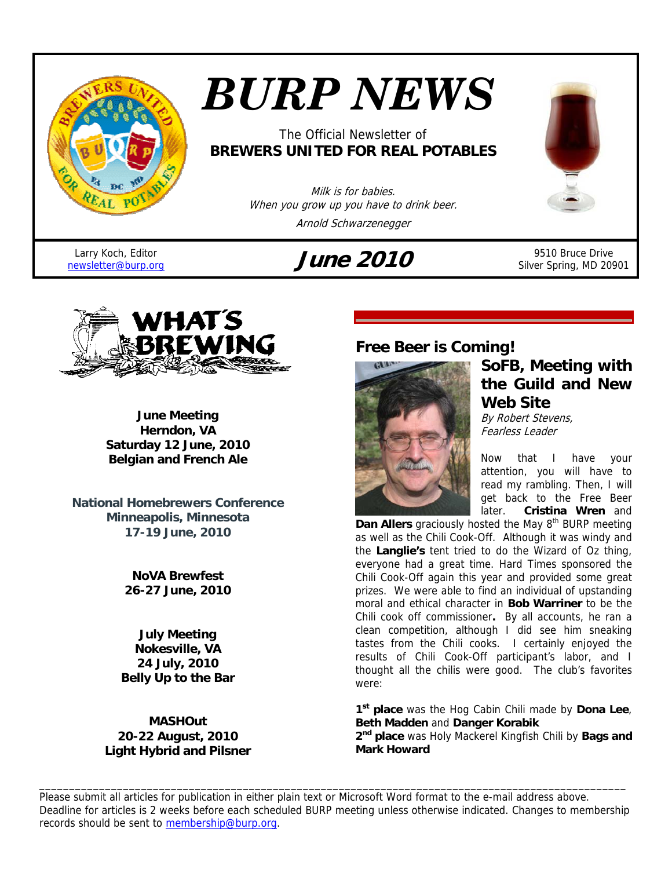

# *BURP NEWS*

## The Official Newsletter of **BREWERS UNITED FOR REAL POTABLES**

Milk is for babies. When you grow up you have to drink beer. Arnold Schwarzenegger

Larry Koch, Editor<br>newsletter@burp.org

## $\mu$ **ne** 2010 <sup>9510 Bruce Drive</sup>



Silver Spring, MD 20901



**June Meeting Herndon, VA Saturday 12 June, 2010 Belgian and French Ale** 

**National Homebrewers Conference Minneapolis, Minnesota 17-19 June, 2010**

> **NoVA Brewfest 26-27 June, 2010**

**July Meeting Nokesville, VA 24 July, 2010 Belly Up to the Bar** 

**MASHOut 20-22 August, 2010 Light Hybrid and Pilsner** 

## **Free Beer is Coming!**



## **SoFB, Meeting with the Guild and New Web Site**

By Robert Stevens, Fearless Leader

Now that I have your attention, you will have to read my rambling. Then, I will get back to the Free Beer later. **Cristina Wren** and

Dan Allers graciously hosted the May 8<sup>th</sup> BURP meeting as well as the Chili Cook-Off. Although it was windy and the **Langlie's** tent tried to do the Wizard of Oz thing, everyone had a great time. Hard Times sponsored the Chili Cook-Off again this year and provided some great prizes. We were able to find an individual of upstanding moral and ethical character in **Bob Warriner** to be the Chili cook off commissioner**.** By all accounts, he ran a clean competition, although I did see him sneaking tastes from the Chili cooks.I certainly enjoyed the results of Chili Cook-Off participant's labor, and I thought all the chilis were good. The club's favorites were:

**1st place** was the Hog Cabin Chili made by **Dona Lee**, **Beth Madden** and **Danger Korabik**

**2nd place** was Holy Mackerel Kingfish Chili by **Bags and Mark Howard**

Please submit all articles for publication in either plain text or Microsoft Word format to the e-mail address above. Deadline for articles is 2 weeks before each scheduled BURP meeting unless otherwise indicated. Changes to membership records should be sent to membership@burp.org.

\_\_\_\_\_\_\_\_\_\_\_\_\_\_\_\_\_\_\_\_\_\_\_\_\_\_\_\_\_\_\_\_\_\_\_\_\_\_\_\_\_\_\_\_\_\_\_\_\_\_\_\_\_\_\_\_\_\_\_\_\_\_\_\_\_\_\_\_\_\_\_\_\_\_\_\_\_\_\_\_\_\_\_\_\_\_\_\_\_\_\_\_\_\_\_\_\_\_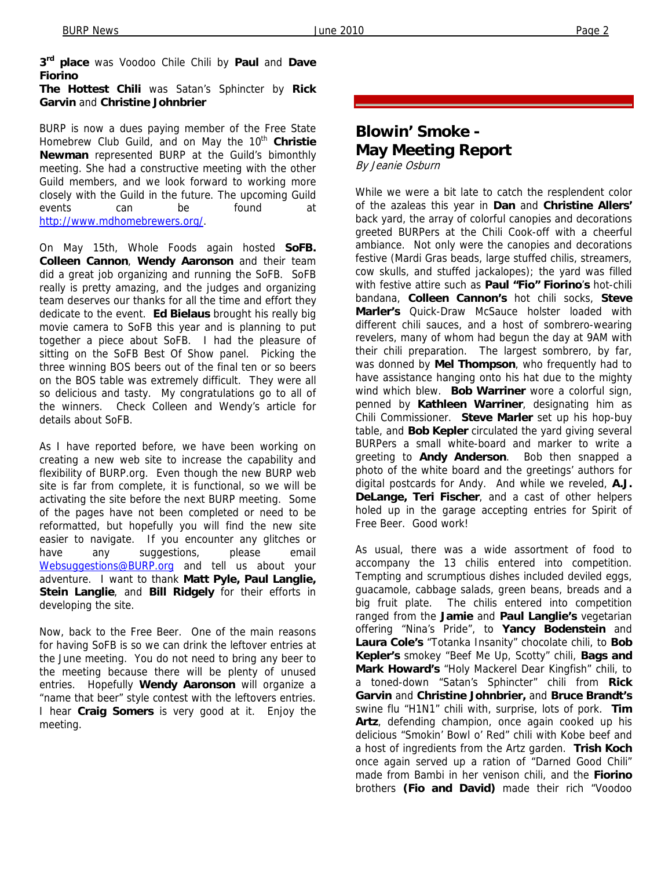**3rd place** was Voodoo Chile Chili by **Paul** and **Dave Fiorino The Hottest Chili** was Satan's Sphincter by **Rick** 

**Garvin** and **Christine Johnbrier** 

BURP is now a dues paying member of the Free State Homebrew Club Guild, and on May the 10<sup>th</sup> Christie **Newman** represented BURP at the Guild's bimonthly meeting. She had a constructive meeting with the other Guild members, and we look forward to working more closely with the Guild in the future. The upcoming Guild events can be found at http://www.mdhomebrewers.org/.

On May 15th, Whole Foods again hosted **SoFB. Colleen Cannon**, **Wendy Aaronson** and their team did a great job organizing and running the SoFB. SoFB really is pretty amazing, and the judges and organizing team deserves our thanks for all the time and effort they dedicate to the event. **Ed Bielaus** brought his really big movie camera to SoFB this year and is planning to put together a piece about SoFB. I had the pleasure of sitting on the SoFB Best Of Show panel. Picking the three winning BOS beers out of the final ten or so beers on the BOS table was extremely difficult. They were all so delicious and tasty. My congratulations go to all of the winners. Check Colleen and Wendy's article for details about SoFB.

As I have reported before, we have been working on creating a new web site to increase the capability and flexibility of BURP.org. Even though the new BURP web site is far from complete, it is functional, so we will be activating the site before the next BURP meeting. Some of the pages have not been completed or need to be reformatted, but hopefully you will find the new site easier to navigate. If you encounter any glitches or have any suggestions, please email Websuggestions@BURP.org and tell us about your adventure. I want to thank **Matt Pyle, Paul Langlie, Stein Langlie**, and **Bill Ridgely** for their efforts in developing the site.

Now, back to the Free Beer. One of the main reasons for having SoFB is so we can drink the leftover entries at the June meeting. You do not need to bring any beer to the meeting because there will be plenty of unused entries. Hopefully **Wendy Aaronson** will organize a "name that beer" style contest with the leftovers entries. I hear **Craig Somers** is very good at it. Enjoy the meeting.

## **Blowin' Smoke - May Meeting Report**

By Jeanie Osburn

While we were a bit late to catch the resplendent color of the azaleas this year in **Dan** and **Christine Allers'** back yard, the array of colorful canopies and decorations greeted BURPers at the Chili Cook-off with a cheerful ambiance. Not only were the canopies and decorations festive (Mardi Gras beads, large stuffed chilis, streamers, cow skulls, and stuffed jackalopes); the yard was filled with festive attire such as **Paul "Fio" Fiorino**'**s** hot-chili bandana, **Colleen Cannon's** hot chili socks, **Steve Marler's** Quick-Draw McSauce holster loaded with different chili sauces, and a host of sombrero-wearing revelers, many of whom had begun the day at 9AM with their chili preparation. The largest sombrero, by far, was donned by **Mel Thompson**, who frequently had to have assistance hanging onto his hat due to the mighty wind which blew. **Bob Warriner** wore a colorful sign, penned by **Kathleen Warriner**, designating him as Chili Commissioner. **Steve Marler** set up his hop-buy table, and **Bob Kepler** circulated the yard giving several BURPers a small white-board and marker to write a greeting to **Andy Anderson**. Bob then snapped a photo of the white board and the greetings' authors for digital postcards for Andy. And while we reveled, **A.J. DeLange, Teri Fischer**, and a cast of other helpers holed up in the garage accepting entries for Spirit of Free Beer. Good work!

As usual, there was a wide assortment of food to accompany the 13 chilis entered into competition. Tempting and scrumptious dishes included deviled eggs, guacamole, cabbage salads, green beans, breads and a big fruit plate. The chilis entered into competition ranged from the **Jamie** and **Paul Langlie's** vegetarian offering "Nina's Pride", to **Yancy Bodenstein** and **Laura Cole's** "Totanka Insanity" chocolate chili, to **Bob Kepler's** smokey "Beef Me Up, Scotty" chili, **Bags and Mark Howard's** "Holy Mackerel Dear Kingfish" chili, to a toned-down "Satan's Sphincter" chili from **Rick Garvin** and **Christine Johnbrier,** and **Bruce Brandt's** swine flu "H1N1" chili with, surprise, lots of pork. **Tim Artz**, defending champion, once again cooked up his delicious "Smokin' Bowl o' Red" chili with Kobe beef and a host of ingredients from the Artz garden. **Trish Koch** once again served up a ration of "Darned Good Chili" made from Bambi in her venison chili, and the **Fiorino**  brothers **(Fio and David)** made their rich "Voodoo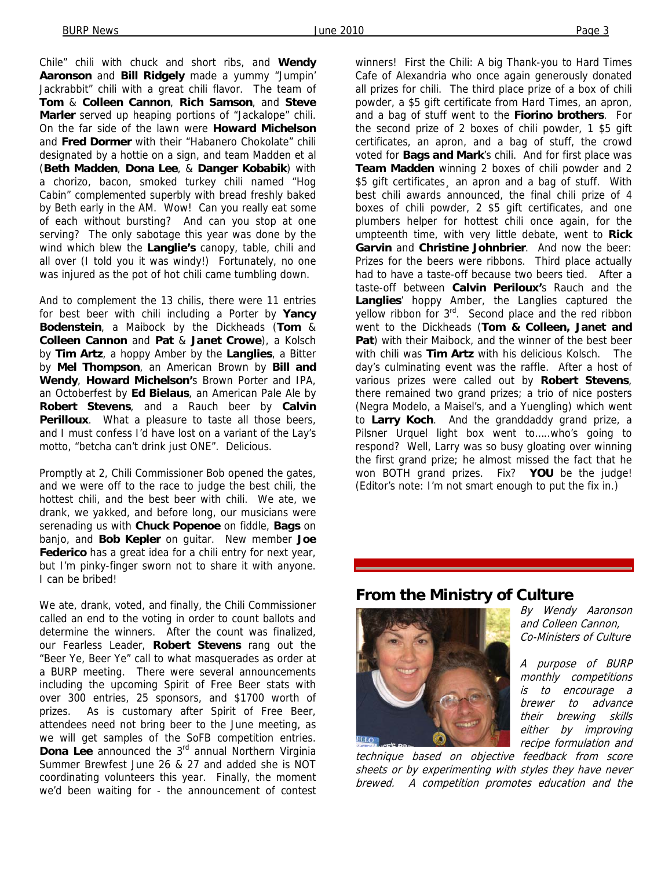Chile" chili with chuck and short ribs, and **Wendy Aaronson** and **Bill Ridgely** made a yummy "Jumpin' Jackrabbit" chili with a great chili flavor. The team of **Tom** & **Colleen Cannon**, **Rich Samson**, and **Steve Marler** served up heaping portions of "Jackalope" chili. On the far side of the lawn were **Howard Michelson** and **Fred Dormer** with their "Habanero Chokolate" chili designated by a hottie on a sign, and team Madden et al (**Beth Madden**, **Dona Lee**, & **Danger Kobabik**) with a chorizo, bacon, smoked turkey chili named "Hog Cabin" complemented superbly with bread freshly baked by Beth early in the AM. Wow! Can you really eat some of each without bursting? And can you stop at one serving? The only sabotage this year was done by the wind which blew the **Langlie's** canopy, table, chili and all over (I told you it was windy!) Fortunately, no one was injured as the pot of hot chili came tumbling down.

And to complement the 13 chilis, there were 11 entries for best beer with chili including a Porter by **Yancy Bodenstein**, a Maibock by the Dickheads (**Tom** & **Colleen Cannon** and **Pat** & **Janet Crowe**), a Kolsch by **Tim Artz**, a hoppy Amber by the **Langlies**, a Bitter by **Mel Thompson**, an American Brown by **Bill and Wendy**, **Howard Michelson'**s Brown Porter and IPA, an Octoberfest by **Ed Bielaus**, an American Pale Ale by **Robert Stevens**, and a Rauch beer by **Calvin Perilloux**. What a pleasure to taste all those beers, and I must confess I'd have lost on a variant of the Lay's motto, "betcha can't drink just ONE". Delicious.

Promptly at 2, Chili Commissioner Bob opened the gates, and we were off to the race to judge the best chili, the hottest chili, and the best beer with chili. We ate, we drank, we yakked, and before long, our musicians were serenading us with **Chuck Popenoe** on fiddle, **Bags** on banjo, and **Bob Kepler** on guitar. New member **Joe Federico** has a great idea for a chili entry for next year, but I'm pinky-finger sworn not to share it with anyone. I can be bribed!

We ate, drank, voted, and finally, the Chili Commissioner called an end to the voting in order to count ballots and determine the winners. After the count was finalized, our Fearless Leader, **Robert Stevens** rang out the "Beer Ye, Beer Ye" call to what masquerades as order at a BURP meeting. There were several announcements including the upcoming Spirit of Free Beer stats with over 300 entries, 25 sponsors, and \$1700 worth of prizes. As is customary after Spirit of Free Beer, attendees need not bring beer to the June meeting, as we will get samples of the SoFB competition entries. **Dona Lee** announced the 3<sup>rd</sup> annual Northern Virginia Summer Brewfest June 26 & 27 and added she is NOT coordinating volunteers this year. Finally, the moment we'd been waiting for - the announcement of contest winners! First the Chili: A big Thank-you to Hard Times Cafe of Alexandria who once again generously donated all prizes for chili. The third place prize of a box of chili powder, a \$5 gift certificate from Hard Times, an apron, and a bag of stuff went to the **Fiorino brothers**. For the second prize of 2 boxes of chili powder, 1 \$5 gift certificates, an apron, and a bag of stuff, the crowd voted for **Bags and Mark**'s chili. And for first place was **Team Madden** winning 2 boxes of chili powder and 2 \$5 gift certificates, an apron and a bag of stuff. With best chili awards announced, the final chili prize of 4 boxes of chili powder, 2 \$5 gift certificates, and one plumbers helper for hottest chili once again, for the umpteenth time, with very little debate, went to **Rick Garvin** and **Christine Johnbrier**. And now the beer: Prizes for the beers were ribbons. Third place actually had to have a taste-off because two beers tied. After a taste-off between **Calvin Periloux'**s Rauch and the **Langlies**' hoppy Amber, the Langlies captured the yellow ribbon for 3<sup>rd</sup>. Second place and the red ribbon went to the Dickheads (**Tom & Colleen, Janet and Pat**) with their Maibock, and the winner of the best beer with chili was **Tim Artz** with his delicious Kolsch. The day's culminating event was the raffle. After a host of various prizes were called out by **Robert Stevens**, there remained two grand prizes; a trio of nice posters (Negra Modelo, a Maisel's, and a Yuengling) which went to **Larry Koch**. And the granddaddy grand prize, a Pilsner Urquel light box went to…..who's going to respond? Well, Larry was so busy gloating over winning the first grand prize; he almost missed the fact that he won BOTH grand prizes. Fix? **YOU** be the judge! (Editor's note: I'm not smart enough to put the fix in.)

#### **From the Ministry of Culture**



By Wendy Aaronson and Colleen Cannon, Co-Ministers of Culture

A purpose of BURP monthly competitions is to encourage a brewer to advance their brewing skills either by improving recipe formulation and

technique based on objective feedback from score sheets or by experimenting with styles they have never brewed. A competition promotes education and the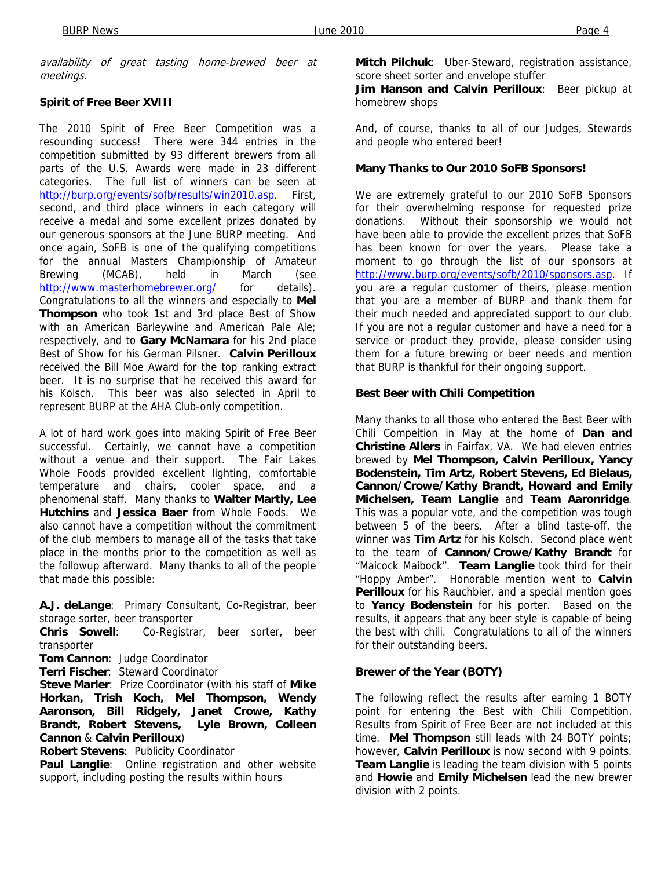availability of great tasting home-brewed beer at meetings.

#### **Spirit of Free Beer XVIII**

The 2010 Spirit of Free Beer Competition was a resounding success! There were 344 entries in the competition submitted by 93 different brewers from all parts of the U.S. Awards were made in 23 different categories. The full list of winners can be seen at http://burp.org/events/sofb/results/win2010.asp. First, second, and third place winners in each category will receive a medal and some excellent prizes donated by our generous sponsors at the June BURP meeting. And once again, SoFB is one of the qualifying competitions for the annual Masters Championship of Amateur Brewing (MCAB), held in March (see http://www.masterhomebrewer.org/ for details). Congratulations to all the winners and especially to **Mel Thompson** who took 1st and 3rd place Best of Show with an American Barleywine and American Pale Ale; respectively, and to **Gary McNamara** for his 2nd place Best of Show for his German Pilsner. **Calvin Perilloux** received the Bill Moe Award for the top ranking extract beer. It is no surprise that he received this award for his Kolsch. This beer was also selected in April to represent BURP at the AHA Club-only competition.

A lot of hard work goes into making Spirit of Free Beer successful. Certainly, we cannot have a competition without a venue and their support. The Fair Lakes Whole Foods provided excellent lighting, comfortable temperature and chairs, cooler space, and a phenomenal staff. Many thanks to **Walter Martly, Lee Hutchins** and **Jessica Baer** from Whole Foods. We also cannot have a competition without the commitment of the club members to manage all of the tasks that take place in the months prior to the competition as well as the followup afterward. Many thanks to all of the people that made this possible:

**A.J. deLange**: Primary Consultant, Co-Registrar, beer storage sorter, beer transporter

**Chris Sowell**: Co-Registrar, beer sorter, beer transporter

**Tom Cannon**: Judge Coordinator

**Terri Fischer**: Steward Coordinator

**Steve Marler**: Prize Coordinator (with his staff of **Mike Horkan, Trish Koch, Mel Thompson, Wendy Aaronson, Bill Ridgely, Janet Crowe, Kathy Brandt, Robert Stevens, Lyle Brown, Colleen Cannon** & **Calvin Perilloux**)

**Robert Stevens**: Publicity Coordinator

**Paul Langlie**: Online registration and other website support, including posting the results within hours

**Mitch Pilchuk**: Uber-Steward, registration assistance, score sheet sorter and envelope stuffer

**Jim Hanson and Calvin Perilloux**: Beer pickup at homebrew shops

And, of course, thanks to all of our Judges, Stewards and people who entered beer!

#### **Many Thanks to Our 2010 SoFB Sponsors!**

We are extremely grateful to our 2010 SoFB Sponsors for their overwhelming response for requested prize donations. Without their sponsorship we would not have been able to provide the excellent prizes that SoFB has been known for over the years. Please take a moment to go through the list of our sponsors at http://www.burp.org/events/sofb/2010/sponsors.asp. If you are a regular customer of theirs, please mention that you are a member of BURP and thank them for their much needed and appreciated support to our club. If you are not a regular customer and have a need for a service or product they provide, please consider using them for a future brewing or beer needs and mention that BURP is thankful for their ongoing support.

#### **Best Beer with Chili Competition**

Many thanks to all those who entered the Best Beer with Chili Compeition in May at the home of **Dan and Christine Allers** in Fairfax, VA. We had eleven entries brewed by **Mel Thompson, Calvin Perilloux, Yancy Bodenstein, Tim Artz, Robert Stevens, Ed Bielaus, Cannon/Crowe/Kathy Brandt, Howard and Emily Michelsen, Team Langlie** and **Team Aaronridge**. This was a popular vote, and the competition was tough between 5 of the beers. After a blind taste-off, the winner was **Tim Artz** for his Kolsch. Second place went to the team of **Cannon/Crowe/Kathy Brandt** for "Maicock Maibock". **Team Langlie** took third for their "Hoppy Amber". Honorable mention went to **Calvin Perilloux** for his Rauchbier, and a special mention goes to **Yancy Bodenstein** for his porter. Based on the results, it appears that any beer style is capable of being the best with chili. Congratulations to all of the winners for their outstanding beers.

#### **Brewer of the Year (BOTY)**

The following reflect the results after earning 1 BOTY point for entering the Best with Chili Competition. Results from Spirit of Free Beer are not included at this time. **Mel Thompson** still leads with 24 BOTY points; however, **Calvin Perilloux** is now second with 9 points. **Team Langlie** is leading the team division with 5 points and **Howie** and **Emily Michelsen** lead the new brewer division with 2 points.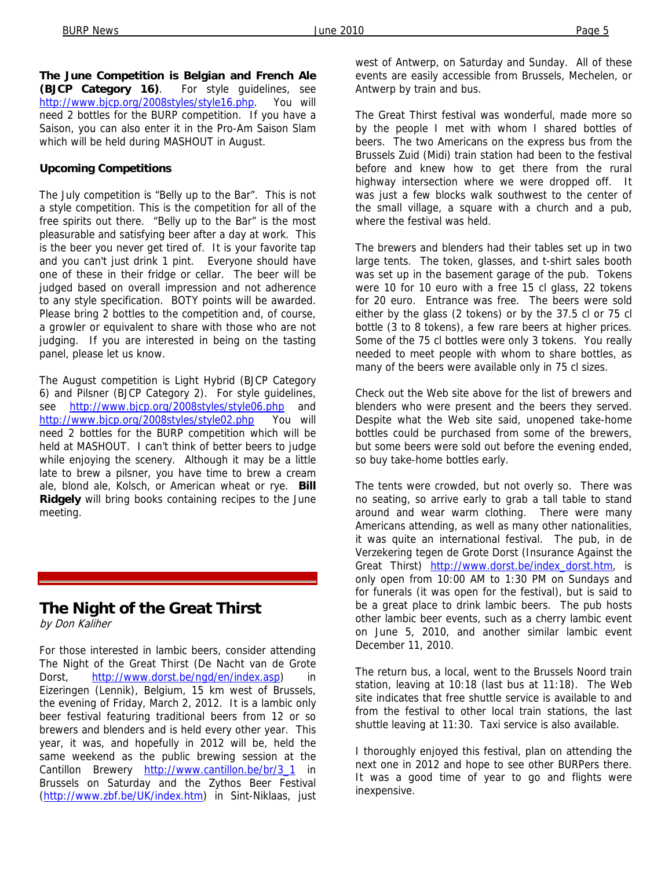**The June Competition is Belgian and French Ale (BJCP Category 16)**. For style guidelines, see http://www.bjcp.org/2008styles/style16.php. You will need 2 bottles for the BURP competition. If you have a Saison, you can also enter it in the Pro-Am Saison Slam which will be held during MASHOUT in August.

#### **Upcoming Competitions**

The July competition is "Belly up to the Bar". This is not a style competition. This is the competition for all of the free spirits out there. "Belly up to the Bar" is the most pleasurable and satisfying beer after a day at work. This is the beer you never get tired of. It is your favorite tap and you can't just drink 1 pint. Everyone should have one of these in their fridge or cellar. The beer will be judged based on overall impression and not adherence to any style specification. BOTY points will be awarded. Please bring 2 bottles to the competition and, of course, a growler or equivalent to share with those who are not judging. If you are interested in being on the tasting panel, please let us know.

The August competition is Light Hybrid (BJCP Category 6) and Pilsner (BJCP Category 2). For style guidelines, see http://www.bjcp.org/2008styles/style06.php and http://www.bjcp.org/2008styles/style02.php You will need 2 bottles for the BURP competition which will be held at MASHOUT. I can't think of better beers to judge while enjoying the scenery. Although it may be a little late to brew a pilsner, you have time to brew a cream ale, blond ale, Kolsch, or American wheat or rye. **Bill Ridgely** will bring books containing recipes to the June meeting.

## **The Night of the Great Thirst**

by Don Kaliher

For those interested in lambic beers, consider attending The Night of the Great Thirst (De Nacht van de Grote Dorst, http://www.dorst.be/ngd/en/index.asp) in Eizeringen (Lennik), Belgium, 15 km west of Brussels, the evening of Friday, March 2, 2012. It is a lambic only beer festival featuring traditional beers from 12 or so brewers and blenders and is held every other year. This year, it was, and hopefully in 2012 will be, held the same weekend as the public brewing session at the Cantillon Brewery http://www.cantillon.be/br/3\_1 in Brussels on Saturday and the Zythos Beer Festival (http://www.zbf.be/UK/index.htm) in Sint-Niklaas, just

west of Antwerp, on Saturday and Sunday. All of these events are easily accessible from Brussels, Mechelen, or Antwerp by train and bus.

The Great Thirst festival was wonderful, made more so by the people I met with whom I shared bottles of beers. The two Americans on the express bus from the Brussels Zuid (Midi) train station had been to the festival before and knew how to get there from the rural highway intersection where we were dropped off. It was just a few blocks walk southwest to the center of the small village, a square with a church and a pub, where the festival was held.

The brewers and blenders had their tables set up in two large tents. The token, glasses, and t-shirt sales booth was set up in the basement garage of the pub. Tokens were 10 for 10 euro with a free 15 cl glass, 22 tokens for 20 euro. Entrance was free. The beers were sold either by the glass (2 tokens) or by the 37.5 cl or 75 cl bottle (3 to 8 tokens), a few rare beers at higher prices. Some of the 75 cl bottles were only 3 tokens. You really needed to meet people with whom to share bottles, as many of the beers were available only in 75 cl sizes.

Check out the Web site above for the list of brewers and blenders who were present and the beers they served. Despite what the Web site said, unopened take-home bottles could be purchased from some of the brewers, but some beers were sold out before the evening ended, so buy take-home bottles early.

The tents were crowded, but not overly so. There was no seating, so arrive early to grab a tall table to stand around and wear warm clothing. There were many Americans attending, as well as many other nationalities, it was quite an international festival. The pub, in de Verzekering tegen de Grote Dorst (Insurance Against the Great Thirst) http://www.dorst.be/index\_dorst.htm, is only open from 10:00 AM to 1:30 PM on Sundays and for funerals (it was open for the festival), but is said to be a great place to drink lambic beers. The pub hosts other lambic beer events, such as a cherry lambic event on June 5, 2010, and another similar lambic event December 11, 2010.

The return bus, a local, went to the Brussels Noord train station, leaving at 10:18 (last bus at 11:18). The Web site indicates that free shuttle service is available to and from the festival to other local train stations, the last shuttle leaving at 11:30. Taxi service is also available.

I thoroughly enjoyed this festival, plan on attending the next one in 2012 and hope to see other BURPers there. It was a good time of year to go and flights were inexpensive.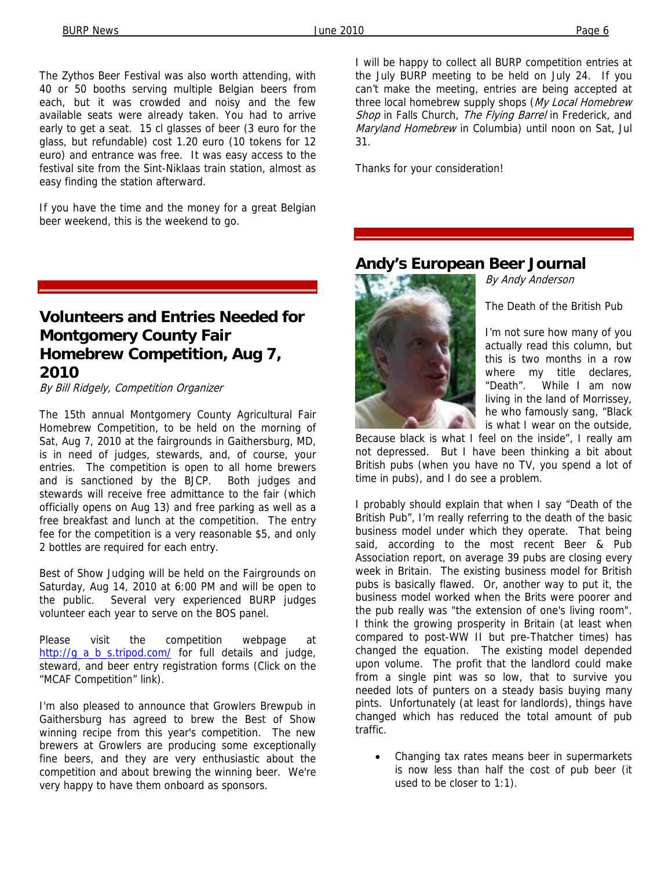The Zythos Beer Festival was also worth attending, with 40 or 50 booths serving multiple Belgian beers from each, but it was crowded and noisy and the few available seats were already taken. You had to arrive early to get a seat. 15 cl glasses of beer (3 euro for the glass, but refundable) cost 1.20 euro (10 tokens for 12 euro) and entrance was free. It was easy access to the festival site from the Sint-Niklaas train station, almost as easy finding the station afterward.

If you have the time and the money for a great Belgian beer weekend, this is the weekend to go.

## **Volunteers and Entries Needed for Montgomery County Fair Homebrew Competition, Aug 7, 2010**

By Bill Ridgely, Competition Organizer

The 15th annual Montgomery County Agricultural Fair Homebrew Competition, to be held on the morning of Sat, Aug 7, 2010 at the fairgrounds in Gaithersburg, MD, is in need of judges, stewards, and, of course, your entries. The competition is open to all home brewers and is sanctioned by the BJCP. Both judges and stewards will receive free admittance to the fair (which officially opens on Aug 13) and free parking as well as a free breakfast and lunch at the competition. The entry fee for the competition is a very reasonable \$5, and only 2 bottles are required for each entry.

Best of Show Judging will be held on the Fairgrounds on Saturday, Aug 14, 2010 at 6:00 PM and will be open to the public. Several very experienced BURP judges volunteer each year to serve on the BOS panel.

Please visit the competition webpage at http://g\_a\_b\_s.tripod.com/ for full details and judge, steward, and beer entry registration forms (Click on the "MCAF Competition" link).

I'm also pleased to announce that Growlers Brewpub in Gaithersburg has agreed to brew the Best of Show winning recipe from this year's competition. The new brewers at Growlers are producing some exceptionally fine beers, and they are very enthusiastic about the competition and about brewing the winning beer. We're very happy to have them onboard as sponsors.

I will be happy to collect all BURP competition entries at the July BURP meeting to be held on July 24. If you can't make the meeting, entries are being accepted at three local homebrew supply shops (My Local Homebrew Shop in Falls Church, The Flying Barrel in Frederick, and Maryland Homebrew in Columbia) until noon on Sat, Jul 31.

Thanks for your consideration!

## **Andy's European Beer Journal**



By Andy Anderson

The Death of the British Pub

I'm not sure how many of you actually read this column, but this is two months in a row where my title declares, "Death". While I am now living in the land of Morrissey, he who famously sang, "Black is what I wear on the outside,

Because black is what I feel on the inside", I really am not depressed. But I have been thinking a bit about British pubs (when you have no TV, you spend a lot of time in pubs), and I do see a problem.

I probably should explain that when I say "Death of the British Pub", I'm really referring to the death of the basic business model under which they operate. That being said, according to the most recent Beer & Pub Association report, on average 39 pubs are closing every week in Britain. The existing business model for British pubs is basically flawed. Or, another way to put it, the business model worked when the Brits were poorer and the pub really was "the extension of one's living room". I think the growing prosperity in Britain (at least when compared to post-WW II but pre-Thatcher times) has changed the equation. The existing model depended upon volume. The profit that the landlord could make from a single pint was so low, that to survive you needed lots of punters on a steady basis buying many pints. Unfortunately (at least for landlords), things have changed which has reduced the total amount of pub traffic.

• Changing tax rates means beer in supermarkets is now less than half the cost of pub beer (it used to be closer to 1:1).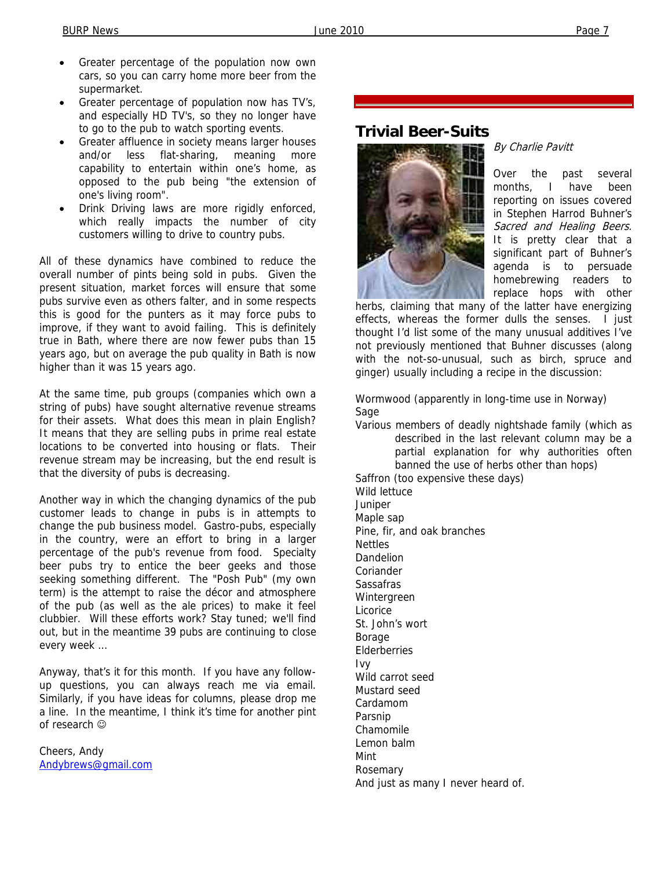- Greater percentage of the population now own cars, so you can carry home more beer from the supermarket.
- Greater percentage of population now has TV's, and especially HD TV's, so they no longer have to go to the pub to watch sporting events.
- Greater affluence in society means larger houses and/or less flat-sharing, meaning more capability to entertain within one's home, as opposed to the pub being "the extension of one's living room".
- Drink Driving laws are more rigidly enforced, which really impacts the number of city customers willing to drive to country pubs.

All of these dynamics have combined to reduce the overall number of pints being sold in pubs. Given the present situation, market forces will ensure that some pubs survive even as others falter, and in some respects this is good for the punters as it may force pubs to improve, if they want to avoid failing. This is definitely true in Bath, where there are now fewer pubs than 15 years ago, but on average the pub quality in Bath is now higher than it was 15 years ago.

At the same time, pub groups (companies which own a string of pubs) have sought alternative revenue streams for their assets. What does this mean in plain English? It means that they are selling pubs in prime real estate locations to be converted into housing or flats. Their revenue stream may be increasing, but the end result is that the diversity of pubs is decreasing.

Another way in which the changing dynamics of the pub customer leads to change in pubs is in attempts to change the pub business model. Gastro-pubs, especially in the country, were an effort to bring in a larger percentage of the pub's revenue from food. Specialty beer pubs try to entice the beer geeks and those seeking something different. The "Posh Pub" (my own term) is the attempt to raise the décor and atmosphere of the pub (as well as the ale prices) to make it feel clubbier. Will these efforts work? Stay tuned; we'll find out, but in the meantime 39 pubs are continuing to close every week …

Anyway, that's it for this month. If you have any followup questions, you can always reach me via email. Similarly, if you have ideas for columns, please drop me a line. In the meantime, I think it's time for another pint of research ☺

Cheers, Andy Andybrews@gmail.com

## **Trivial Beer-Suits**



#### By Charlie Pavitt

Over the past several months, I have been reporting on issues covered in Stephen Harrod Buhner's Sacred and Healing Beers. It is pretty clear that a significant part of Buhner's agenda is to persuade homebrewing readers to replace hops with other

herbs, claiming that many of the latter have energizing effects, whereas the former dulls the senses. I just thought I'd list some of the many unusual additives I've not previously mentioned that Buhner discusses (along with the not-so-unusual, such as birch, spruce and ginger) usually including a recipe in the discussion:

Wormwood (apparently in long-time use in Norway) Sage

Various members of deadly nightshade family (which as described in the last relevant column may be a partial explanation for why authorities often banned the use of herbs other than hops)

Saffron (too expensive these days) Wild lettuce Juniper Maple sap Pine, fir, and oak branches Nettles Dandelion Coriander Sassafras Wintergreen Licorice St. John's wort Borage Elderberries Ivy Wild carrot seed Mustard seed Cardamom Parsnip Chamomile Lemon balm Mint Rosemary And just as many I never heard of.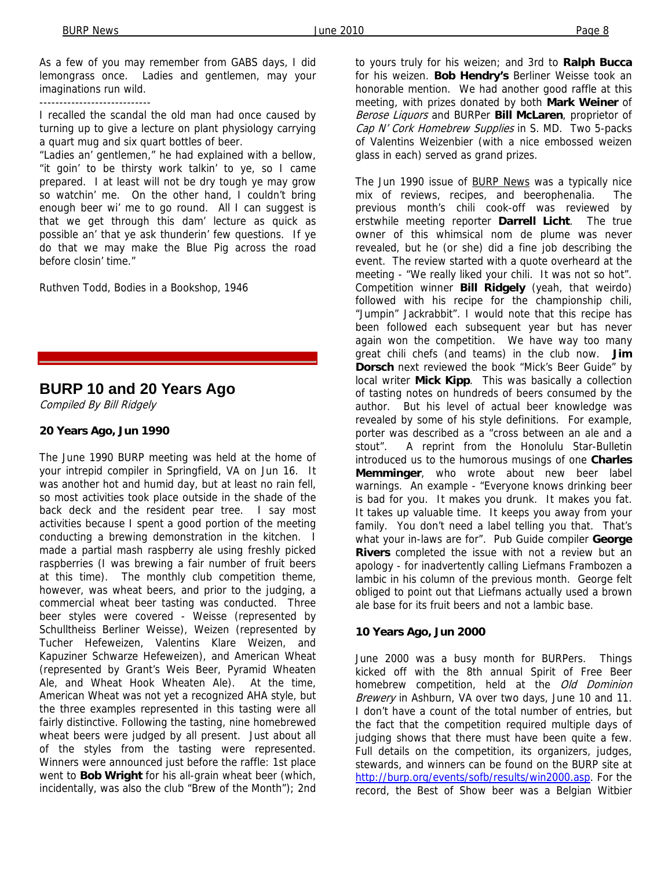As a few of you may remember from GABS days, I did lemongrass once. Ladies and gentlemen, may your imaginations run wild.

----------------------------

I recalled the scandal the old man had once caused by turning up to give a lecture on plant physiology carrying a quart mug and six quart bottles of beer.

"Ladies an' gentlemen," he had explained with a bellow, "it goin' to be thirsty work talkin' to ye, so I came prepared. I at least will not be dry tough ye may grow so watchin' me. On the other hand, I couldn't bring enough beer wi' me to go round. All I can suggest is that we get through this dam' lecture as quick as possible an' that ye ask thunderin' few questions. If ye do that we may make the Blue Pig across the road before closin' time."

Ruthven Todd, Bodies in a Bookshop, 1946

#### **BURP 10 and 20 Years Ago**

Compiled By Bill Ridgely

#### **20 Years Ago, Jun 1990**

The June 1990 BURP meeting was held at the home of your intrepid compiler in Springfield, VA on Jun 16. It was another hot and humid day, but at least no rain fell, so most activities took place outside in the shade of the back deck and the resident pear tree. I say most activities because I spent a good portion of the meeting conducting a brewing demonstration in the kitchen. I made a partial mash raspberry ale using freshly picked raspberries (I was brewing a fair number of fruit beers at this time). The monthly club competition theme, however, was wheat beers, and prior to the judging, a commercial wheat beer tasting was conducted. Three beer styles were covered - Weisse (represented by Schulltheiss Berliner Weisse), Weizen (represented by Tucher Hefeweizen, Valentins Klare Weizen, and Kapuziner Schwarze Hefeweizen), and American Wheat (represented by Grant's Weis Beer, Pyramid Wheaten Ale, and Wheat Hook Wheaten Ale). At the time, American Wheat was not yet a recognized AHA style, but the three examples represented in this tasting were all fairly distinctive. Following the tasting, nine homebrewed wheat beers were judged by all present. Just about all of the styles from the tasting were represented. Winners were announced just before the raffle: 1st place went to **Bob Wright** for his all-grain wheat beer (which, incidentally, was also the club "Brew of the Month"); 2nd

to yours truly for his weizen; and 3rd to **Ralph Bucca**  for his weizen. **Bob Hendry's** Berliner Weisse took an honorable mention. We had another good raffle at this meeting, with prizes donated by both **Mark Weiner** of Berose Liquors and BURPer **Bill McLaren**, proprietor of Cap N' Cork Homebrew Supplies in S. MD. Two 5-packs of Valentins Weizenbier (with a nice embossed weizen glass in each) served as grand prizes.

The Jun 1990 issue of **BURP News** was a typically nice mix of reviews, recipes, and beerophenalia. The previous month's chili cook-off was reviewed by erstwhile meeting reporter **Darrell Licht**. The true owner of this whimsical nom de plume was never revealed, but he (or she) did a fine job describing the event. The review started with a quote overheard at the meeting - "We really liked your chili. It was not so hot". Competition winner **Bill Ridgely** (yeah, that weirdo) followed with his recipe for the championship chili, "Jumpin" Jackrabbit". I would note that this recipe has been followed each subsequent year but has never again won the competition. We have way too many great chili chefs (and teams) in the club now. **Jim Dorsch** next reviewed the book "Mick's Beer Guide" by local writer **Mick Kipp**. This was basically a collection of tasting notes on hundreds of beers consumed by the author. But his level of actual beer knowledge was revealed by some of his style definitions. For example, porter was described as a "cross between an ale and a stout". A reprint from the Honolulu Star-Bulletin introduced us to the humorous musings of one **Charles Memminger**, who wrote about new beer label warnings. An example - "Everyone knows drinking beer is bad for you. It makes you drunk. It makes you fat. It takes up valuable time. It keeps you away from your family. You don't need a label telling you that. That's what your in-laws are for". Pub Guide compiler **George Rivers** completed the issue with not a review but an apology - for inadvertently calling Liefmans Frambozen a lambic in his column of the previous month. George felt obliged to point out that Liefmans actually used a brown ale base for its fruit beers and not a lambic base.

#### **10 Years Ago, Jun 2000**

June 2000 was a busy month for BURPers. Things kicked off with the 8th annual Spirit of Free Beer homebrew competition, held at the Old Dominion Brewery in Ashburn, VA over two days, June 10 and 11. I don't have a count of the total number of entries, but the fact that the competition required multiple days of judging shows that there must have been quite a few. Full details on the competition, its organizers, judges, stewards, and winners can be found on the BURP site at http://burp.org/events/sofb/results/win2000.asp. For the record, the Best of Show beer was a Belgian Witbier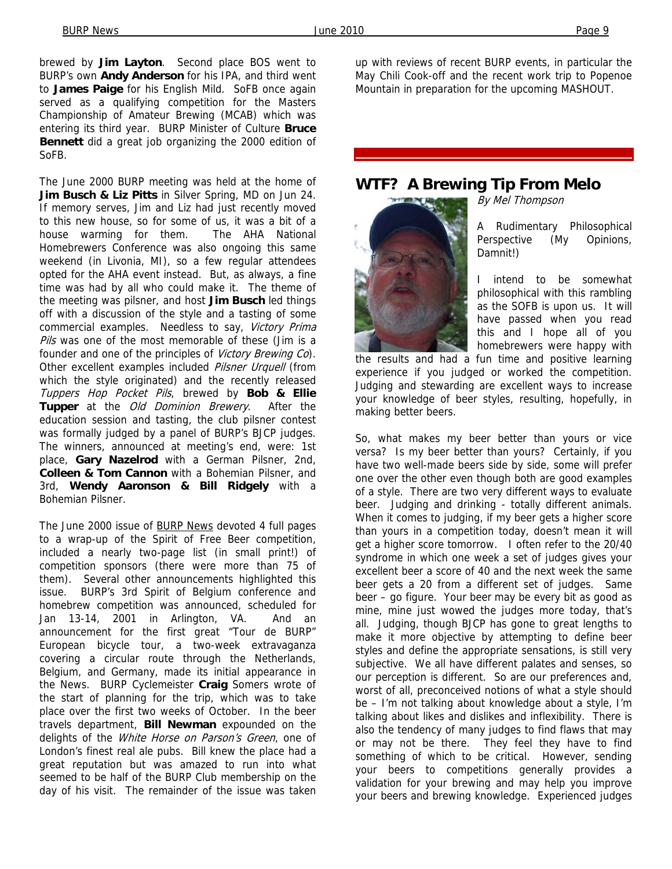brewed by **Jim Layton**. Second place BOS went to BURP's own **Andy Anderson** for his IPA, and third went to **James Paige** for his English Mild. SoFB once again served as a qualifying competition for the Masters Championship of Amateur Brewing (MCAB) which was entering its third year. BURP Minister of Culture **Bruce Bennett** did a great job organizing the 2000 edition of SoFB.

The June 2000 BURP meeting was held at the home of **Jim Busch & Liz Pitts** in Silver Spring, MD on Jun 24. If memory serves, Jim and Liz had just recently moved to this new house, so for some of us, it was a bit of a house warming for them. The AHA National Homebrewers Conference was also ongoing this same weekend (in Livonia, MI), so a few regular attendees opted for the AHA event instead. But, as always, a fine time was had by all who could make it. The theme of the meeting was pilsner, and host **Jim Busch** led things off with a discussion of the style and a tasting of some commercial examples. Needless to say, Victory Prima Pils was one of the most memorable of these (Jim is a founder and one of the principles of Victory Brewing Co). Other excellent examples included Pilsner Urquell (from which the style originated) and the recently released Tuppers Hop Pocket Pils, brewed by **Bob & Ellie Tupper** at the Old Dominion Brewery. After the education session and tasting, the club pilsner contest was formally judged by a panel of BURP's BJCP judges. The winners, announced at meeting's end, were: 1st place, **Gary Nazelrod** with a German Pilsner, 2nd, **Colleen & Tom Cannon** with a Bohemian Pilsner, and 3rd, **Wendy Aaronson & Bill Ridgely** with a Bohemian Pilsner.

The June 2000 issue of BURP News devoted 4 full pages to a wrap-up of the Spirit of Free Beer competition, included a nearly two-page list (in small print!) of competition sponsors (there were more than 75 of them). Several other announcements highlighted this issue. BURP's 3rd Spirit of Belgium conference and homebrew competition was announced, scheduled for Jan 13-14, 2001 in Arlington, VA. And an announcement for the first great "Tour de BURP" European bicycle tour, a two-week extravaganza covering a circular route through the Netherlands, Belgium, and Germany, made its initial appearance in the News. BURP Cyclemeister **Craig** Somers wrote of the start of planning for the trip, which was to take place over the first two weeks of October. In the beer travels department, **Bill Newman** expounded on the delights of the White Horse on Parson's Green, one of London's finest real ale pubs. Bill knew the place had a great reputation but was amazed to run into what seemed to be half of the BURP Club membership on the day of his visit. The remainder of the issue was taken up with reviews of recent BURP events, in particular the May Chili Cook-off and the recent work trip to Popenoe Mountain in preparation for the upcoming MASHOUT.

#### **WTF? A Brewing Tip From Melo**



By Mel Thompson

A Rudimentary Philosophical Perspective (My Opinions, Damnit!)

I intend to be somewhat philosophical with this rambling as the SOFB is upon us. It will have passed when you read this and I hope all of you homebrewers were happy with

the results and had a fun time and positive learning experience if you judged or worked the competition. Judging and stewarding are excellent ways to increase your knowledge of beer styles, resulting, hopefully, in making better beers.

So, what makes my beer better than yours or vice versa? Is my beer better than yours? Certainly, if you have two well-made beers side by side, some will prefer one over the other even though both are good examples of a style. There are two very different ways to evaluate beer. Judging and drinking - totally different animals. When it comes to judging, if my beer gets a higher score than yours in a competition today, doesn't mean it will get a higher score tomorrow. I often refer to the 20/40 syndrome in which one week a set of judges gives your excellent beer a score of 40 and the next week the same beer gets a 20 from a different set of judges. Same beer – go figure. Your beer may be every bit as good as mine, mine just wowed the judges more today, that's all. Judging, though BJCP has gone to great lengths to make it more objective by attempting to define beer styles and define the appropriate sensations, is still very subjective. We all have different palates and senses, so our perception is different. So are our preferences and, worst of all, preconceived notions of what a style should be – I'm not talking about knowledge about a style, I'm talking about likes and dislikes and inflexibility. There is also the tendency of many judges to find flaws that may or may not be there. They feel they have to find something of which to be critical. However, sending your beers to competitions generally provides a validation for your brewing and may help you improve your beers and brewing knowledge. Experienced judges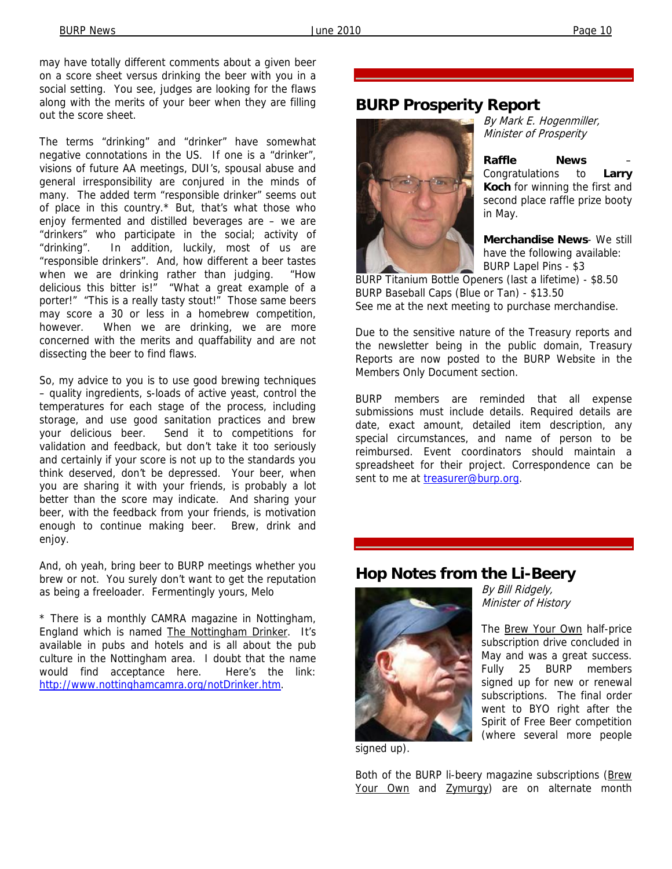may have totally different comments about a given beer on a score sheet versus drinking the beer with you in a social setting. You see, judges are looking for the flaws along with the merits of your beer when they are filling out the score sheet.

The terms "drinking" and "drinker" have somewhat negative connotations in the US. If one is a "drinker", visions of future AA meetings, DUI's, spousal abuse and general irresponsibility are conjured in the minds of many. The added term "responsible drinker" seems out of place in this country.\* But, that's what those who enjoy fermented and distilled beverages are – we are "drinkers" who participate in the social; activity of "drinking". In addition, luckily, most of us are "responsible drinkers". And, how different a beer tastes when we are drinking rather than judging. "How delicious this bitter is!" "What a great example of a porter!" "This is a really tasty stout!" Those same beers may score a 30 or less in a homebrew competition, however. When we are drinking, we are more concerned with the merits and quaffability and are not dissecting the beer to find flaws.

So, my advice to you is to use good brewing techniques – quality ingredients, s-loads of active yeast, control the temperatures for each stage of the process, including storage, and use good sanitation practices and brew your delicious beer. Send it to competitions for validation and feedback, but don't take it too seriously and certainly if your score is not up to the standards you think deserved, don't be depressed. Your beer, when you are sharing it with your friends, is probably a lot better than the score may indicate. And sharing your beer, with the feedback from your friends, is motivation enough to continue making beer. Brew, drink and enjoy.

And, oh yeah, bring beer to BURP meetings whether you brew or not. You surely don't want to get the reputation as being a freeloader. Fermentingly yours, Melo

\* There is a monthly CAMRA magazine in Nottingham, England which is named The Nottingham Drinker. It's available in pubs and hotels and is all about the pub culture in the Nottingham area. I doubt that the name would find acceptance here. Here's the link: http://www.nottinghamcamra.org/notDrinker.htm.

#### **BURP Prosperity Report**



By Mark E. Hogenmiller, Minister of Prosperity

**Raffle News** – Congratulations to **Larry Koch** for winning the first and second place raffle prize booty in May.

**Merchandise News**- We still have the following available: BURP Lapel Pins - \$3

BURP Titanium Bottle Openers (last a lifetime) - \$8.50 BURP Baseball Caps (Blue or Tan) - \$13.50 See me at the next meeting to purchase merchandise.

Due to the sensitive nature of the Treasury reports and the newsletter being in the public domain, Treasury Reports are now posted to the BURP Website in the Members Only Document section.

BURP members are reminded that all expense submissions must include details. Required details are date, exact amount, detailed item description, any special circumstances, and name of person to be reimbursed. Event coordinators should maintain a spreadsheet for their project. Correspondence can be sent to me at treasurer@burp.org.

#### **Hop Notes from the Li-Beery**



By Bill Ridgely, Minister of History

The Brew Your Own half-price subscription drive concluded in May and was a great success. Fully 25 BURP members signed up for new or renewal subscriptions. The final order went to BYO right after the Spirit of Free Beer competition (where several more people

signed up).

Both of the BURP li-beery magazine subscriptions (Brew Your Own and Zymurgy) are on alternate month